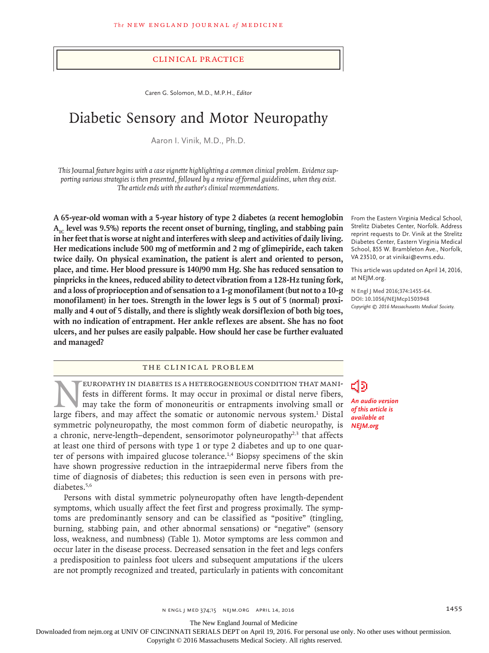### Clinical Practice

Caren G. Solomon, M.D., M.P.H., *Editor*

# Diabetic Sensory and Motor Neuropathy

Aaron I. Vinik, M.D., Ph.D.

*This* Journal *feature begins with a case vignette highlighting a common clinical problem. Evidence supporting various strategies is then presented, followed by a review of formal guidelines, when they exist. The article ends with the author's clinical recommendations.*

**A 65-year-old woman with a 5-year history of type 2 diabetes (a recent hemoglobin**  A<sub>1C</sub> level was 9.5%) reports the recent onset of burning, tingling, and stabbing pain **in her feet that is worse at night and interferes with sleep and activities of daily living. Her medications include 500 mg of metformin and 2 mg of glimepiride, each taken twice daily. On physical examination, the patient is alert and oriented to person, place, and time. Her blood pressure is 140/90 mm Hg. She has reduced sensation to pinpricks in the knees, reduced ability to detect vibration from a 128-Hz tuning fork, and a loss of proprioception and of sensation to a 1-g monofilament (but not to a 10-g monofilament) in her toes. Strength in the lower legs is 5 out of 5 (normal) proximally and 4 out of 5 distally, and there is slightly weak dorsiflexion of both big toes, with no indication of entrapment. Her ankle reflexes are absent. She has no foot ulcers, and her pulses are easily palpable. How should her case be further evaluated and managed?**

# The Clinical Problem

EUROPATHY IN DIABETES IS A HETEROGENEOUS CONDITION THAT MANIfests in different forms. It may occur in proximal or distal nerve fibers, may take the form of mononeuritis or entrapments involving small or large fibers, and may affect the somatic or autonomic nervous system.<sup>1</sup> Distal symmetric polyneuropathy, the most common form of diabetic neuropathy, is a chronic, nerve-length–dependent, sensorimotor polyneuropathy<sup>2,3</sup> that affects at least one third of persons with type 1 or type 2 diabetes and up to one quarter of persons with impaired glucose tolerance.<sup>1,4</sup> Biopsy specimens of the skin have shown progressive reduction in the intraepidermal nerve fibers from the time of diagnosis of diabetes; this reduction is seen even in persons with prediabetes.5,6

Persons with distal symmetric polyneuropathy often have length-dependent symptoms, which usually affect the feet first and progress proximally. The symptoms are predominantly sensory and can be classified as "positive" (tingling, burning, stabbing pain, and other abnormal sensations) or "negative" (sensory loss, weakness, and numbness) (Table 1). Motor symptoms are less common and occur later in the disease process. Decreased sensation in the feet and legs confers a predisposition to painless foot ulcers and subsequent amputations if the ulcers are not promptly recognized and treated, particularly in patients with concomitant

From the Eastern Virginia Medical School, Strelitz Diabetes Center, Norfolk. Address reprint requests to Dr. Vinik at the Strelitz Diabetes Center, Eastern Virginia Medical School, 855 W. Brambleton Ave., Norfolk, VA 23510, or at vinikai@evms.edu.

This article was updated on April 14, 2016, at NEJM.org.

**N Engl J Med 2016;374:1455-64. DOI: 10.1056/NEJMcp1503948** *Copyright © 2016 Massachusetts Medical Society.*

*An audio version of this article is available at NEJM.org*

n engl j med 374;15 nejm.org April 14, 2016 1455

The New England Journal of Medicine

Downloaded from nejm.org at UNIV OF CINCINNATI SERIALS DEPT on April 19, 2016. For personal use only. No other uses without permission.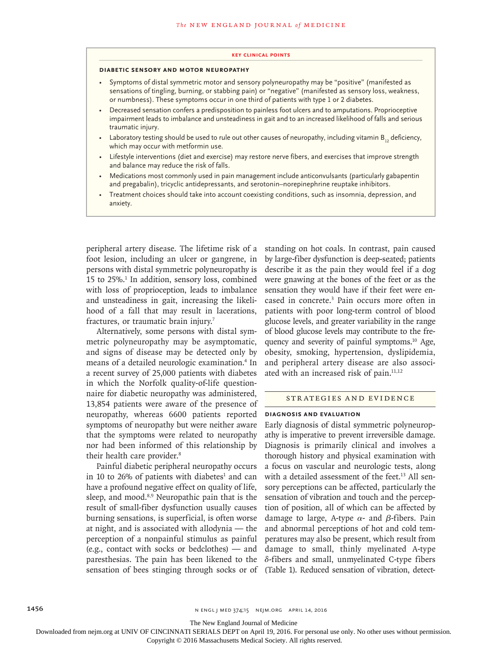#### **Key Clinical Points**

# **Diabetic Sensory and Motor Neuropathy**

- Symptoms of distal symmetric motor and sensory polyneuropathy may be "positive" (manifested as sensations of tingling, burning, or stabbing pain) or "negative" (manifested as sensory loss, weakness, or numbness). These symptoms occur in one third of patients with type 1 or 2 diabetes.
- Decreased sensation confers a predisposition to painless foot ulcers and to amputations. Proprioceptive impairment leads to imbalance and unsteadiness in gait and to an increased likelihood of falls and serious traumatic injury.
- Laboratory testing should be used to rule out other causes of neuropathy, including vitamin  $B_{12}$  deficiency, which may occur with metformin use.
- Lifestyle interventions (diet and exercise) may restore nerve fibers, and exercises that improve strength and balance may reduce the risk of falls.
- Medications most commonly used in pain management include anticonvulsants (particularly gabapentin and pregabalin), tricyclic antidepressants, and serotonin–norepinephrine reuptake inhibitors.
- Treatment choices should take into account coexisting conditions, such as insomnia, depression, and anxiety.

peripheral artery disease. The lifetime risk of a foot lesion, including an ulcer or gangrene, in persons with distal symmetric polyneuropathy is 15 to 25%.<sup>1</sup> In addition, sensory loss, combined with loss of proprioception, leads to imbalance and unsteadiness in gait, increasing the likelihood of a fall that may result in lacerations, fractures, or traumatic brain injury.<sup>7</sup>

Alternatively, some persons with distal symmetric polyneuropathy may be asymptomatic, and signs of disease may be detected only by means of a detailed neurologic examination.4 In a recent survey of 25,000 patients with diabetes in which the Norfolk quality-of-life questionnaire for diabetic neuropathy was administered, 13,854 patients were aware of the presence of neuropathy, whereas 6600 patients reported symptoms of neuropathy but were neither aware that the symptoms were related to neuropathy nor had been informed of this relationship by their health care provider.<sup>8</sup>

Painful diabetic peripheral neuropathy occurs in 10 to 26% of patients with diabetes<sup>1</sup> and can have a profound negative effect on quality of life, sleep, and mood.<sup>8,9</sup> Neuropathic pain that is the result of small-fiber dysfunction usually causes burning sensations, is superficial, is often worse at night, and is associated with allodynia — the perception of a nonpainful stimulus as painful (e.g., contact with socks or bedclothes) — and paresthesias. The pain has been likened to the sensation of bees stinging through socks or of (Table 1). Reduced sensation of vibration, detect-

standing on hot coals. In contrast, pain caused by large-fiber dysfunction is deep-seated; patients describe it as the pain they would feel if a dog were gnawing at the bones of the feet or as the sensation they would have if their feet were encased in concrete.3 Pain occurs more often in patients with poor long-term control of blood glucose levels, and greater variability in the range of blood glucose levels may contribute to the frequency and severity of painful symptoms.10 Age, obesity, smoking, hypertension, dyslipidemia, and peripheral artery disease are also associated with an increased risk of pain.<sup>11,12</sup>

#### Strategies and Evidence

### **Diagnosis and Evaluation**

Early diagnosis of distal symmetric polyneuropathy is imperative to prevent irreversible damage. Diagnosis is primarily clinical and involves a thorough history and physical examination with a focus on vascular and neurologic tests, along with a detailed assessment of the feet.<sup>13</sup> All sensory perceptions can be affected, particularly the sensation of vibration and touch and the perception of position, all of which can be affected by damage to large, A-type  $\alpha$ - and β-fibers. Pain and abnormal perceptions of hot and cold temperatures may also be present, which result from damage to small, thinly myelinated A-type δ-fibers and small, unmyelinated C-type fibers

The New England Journal of Medicine

Downloaded from nejm.org at UNIV OF CINCINNATI SERIALS DEPT on April 19, 2016. For personal use only. No other uses without permission.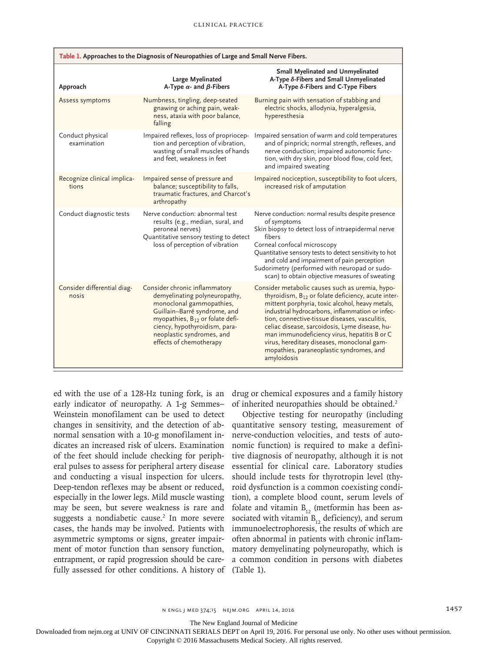|                                      | Table 1. Approaches to the Diagnosis of Neuropathies of Large and Small Nerve Fibers.                                                                                                                                                                              |                                                                                                                                                                                                                                                                                                                                                                                                                                                                               |
|--------------------------------------|--------------------------------------------------------------------------------------------------------------------------------------------------------------------------------------------------------------------------------------------------------------------|-------------------------------------------------------------------------------------------------------------------------------------------------------------------------------------------------------------------------------------------------------------------------------------------------------------------------------------------------------------------------------------------------------------------------------------------------------------------------------|
| Approach                             | Large Myelinated<br>A-Type $\alpha$ - and $\beta$ -Fibers                                                                                                                                                                                                          | <b>Small Myelinated and Unmyelinated</b><br>A-Type δ-Fibers and Small Unmyelinated<br>A-Type δ-Fibers and C-Type Fibers                                                                                                                                                                                                                                                                                                                                                       |
| Assess symptoms                      | Numbness, tingling, deep-seated<br>gnawing or aching pain, weak-<br>ness, ataxia with poor balance,<br>falling                                                                                                                                                     | Burning pain with sensation of stabbing and<br>electric shocks, allodynia, hyperalgesia,<br>hyperesthesia                                                                                                                                                                                                                                                                                                                                                                     |
| Conduct physical<br>examination      | Impaired reflexes, loss of propriocep-<br>tion and perception of vibration,<br>wasting of small muscles of hands<br>and feet, weakness in feet                                                                                                                     | Impaired sensation of warm and cold temperatures<br>and of pinprick; normal strength, reflexes, and<br>nerve conduction; impaired autonomic func-<br>tion, with dry skin, poor blood flow, cold feet,<br>and impaired sweating                                                                                                                                                                                                                                                |
| Recognize clinical implica-<br>tions | Impaired sense of pressure and<br>balance; susceptibility to falls,<br>traumatic fractures, and Charcot's<br>arthropathy                                                                                                                                           | Impaired nociception, susceptibility to foot ulcers,<br>increased risk of amputation                                                                                                                                                                                                                                                                                                                                                                                          |
| Conduct diagnostic tests             | Nerve conduction: abnormal test<br>results (e.g., median, sural, and<br>peroneal nerves)<br>Quantitative sensory testing to detect<br>loss of perception of vibration                                                                                              | Nerve conduction: normal results despite presence<br>of symptoms<br>Skin biopsy to detect loss of intraepidermal nerve<br>fibers<br>Corneal confocal microscopy<br>Quantitative sensory tests to detect sensitivity to hot<br>and cold and impairment of pain perception<br>Sudorimetry (performed with neuropad or sudo-<br>scan) to obtain objective measures of sweating                                                                                                   |
| Consider differential diag-<br>nosis | Consider chronic inflammatory<br>demyelinating polyneuropathy,<br>monoclonal gammopathies,<br>Guillain-Barré syndrome, and<br>myopathies, B <sub>12</sub> or folate defi-<br>ciency, hypothyroidism, para-<br>neoplastic syndromes, and<br>effects of chemotherapy | Consider metabolic causes such as uremia, hypo-<br>thyroidism, $B_{12}$ or folate deficiency, acute inter-<br>mittent porphyria, toxic alcohol, heavy metals,<br>industrial hydrocarbons, inflammation or infec-<br>tion, connective-tissue diseases, vasculitis,<br>celiac disease, sarcoidosis, Lyme disease, hu-<br>man immunodeficiency virus, hepatitis B or C<br>virus, hereditary diseases, monoclonal gam-<br>mopathies, paraneoplastic syndromes, and<br>amyloidosis |

ed with the use of a 128-Hz tuning fork, is an early indicator of neuropathy. A 1-g Semmes– Weinstein monofilament can be used to detect changes in sensitivity, and the detection of abnormal sensation with a 10-g monofilament indicates an increased risk of ulcers. Examination of the feet should include checking for peripheral pulses to assess for peripheral artery disease and conducting a visual inspection for ulcers. Deep-tendon reflexes may be absent or reduced, especially in the lower legs. Mild muscle wasting may be seen, but severe weakness is rare and suggests a nondiabetic cause.<sup>2</sup> In more severe cases, the hands may be involved. Patients with asymmetric symptoms or signs, greater impairment of motor function than sensory function, entrapment, or rapid progression should be carefully assessed for other conditions. A history of (Table 1).

drug or chemical exposures and a family history of inherited neuropathies should be obtained.<sup>2</sup>

Objective testing for neuropathy (including quantitative sensory testing, measurement of nerve-conduction velocities, and tests of autonomic function) is required to make a definitive diagnosis of neuropathy, although it is not essential for clinical care. Laboratory studies should include tests for thyrotropin level (thyroid dysfunction is a common coexisting condition), a complete blood count, serum levels of folate and vitamin  $B_{12}$  (metformin has been associated with vitamin  $B_{12}$  deficiency), and serum immunoelectrophoresis, the results of which are often abnormal in patients with chronic inflammatory demyelinating polyneuropathy, which is a common condition in persons with diabetes

The New England Journal of Medicine

Downloaded from nejm.org at UNIV OF CINCINNATI SERIALS DEPT on April 19, 2016. For personal use only. No other uses without permission.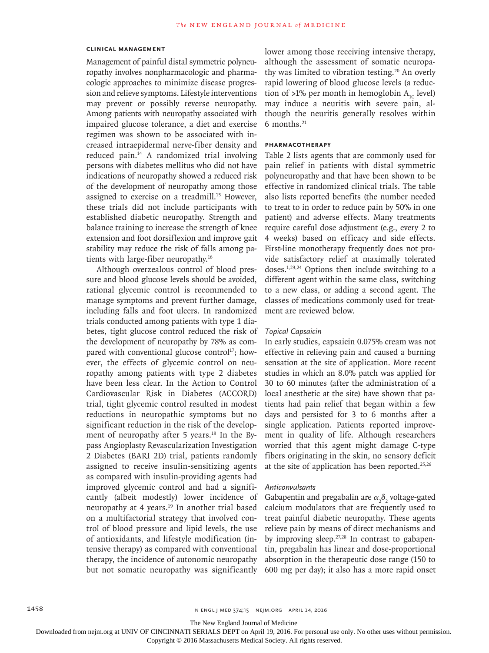## **Clinical Management**

Management of painful distal symmetric polyneuropathy involves nonpharmacologic and pharmacologic approaches to minimize disease progression and relieve symptoms. Lifestyle interventions may prevent or possibly reverse neuropathy. Among patients with neuropathy associated with impaired glucose tolerance, a diet and exercise regimen was shown to be associated with increased intraepidermal nerve-fiber density and reduced pain.14 A randomized trial involving persons with diabetes mellitus who did not have indications of neuropathy showed a reduced risk of the development of neuropathy among those assigned to exercise on a treadmill.<sup>15</sup> However, these trials did not include participants with established diabetic neuropathy. Strength and balance training to increase the strength of knee extension and foot dorsiflexion and improve gait stability may reduce the risk of falls among patients with large-fiber neuropathy.16

Although overzealous control of blood pressure and blood glucose levels should be avoided, rational glycemic control is recommended to manage symptoms and prevent further damage, including falls and foot ulcers. In randomized trials conducted among patients with type 1 diabetes, tight glucose control reduced the risk of the development of neuropathy by 78% as compared with conventional glucose control<sup>17</sup>; however, the effects of glycemic control on neuropathy among patients with type 2 diabetes have been less clear. In the Action to Control Cardiovascular Risk in Diabetes (ACCORD) trial, tight glycemic control resulted in modest reductions in neuropathic symptoms but no significant reduction in the risk of the development of neuropathy after 5 years.<sup>18</sup> In the Bypass Angioplasty Revascularization Investigation 2 Diabetes (BARI 2D) trial, patients randomly assigned to receive insulin-sensitizing agents as compared with insulin-providing agents had improved glycemic control and had a significantly (albeit modestly) lower incidence of neuropathy at 4 years.<sup>19</sup> In another trial based on a multifactorial strategy that involved control of blood pressure and lipid levels, the use of antioxidants, and lifestyle modification (intensive therapy) as compared with conventional therapy, the incidence of autonomic neuropathy but not somatic neuropathy was significantly lower among those receiving intensive therapy, although the assessment of somatic neuropathy was limited to vibration testing.<sup>20</sup> An overly rapid lowering of blood glucose levels (a reduction of >1% per month in hemoglobin  $A_{1c}$  level) may induce a neuritis with severe pain, although the neuritis generally resolves within 6 months.21

#### **Pharmacotherapy**

Table 2 lists agents that are commonly used for pain relief in patients with distal symmetric polyneuropathy and that have been shown to be effective in randomized clinical trials. The table also lists reported benefits (the number needed to treat to in order to reduce pain by 50% in one patient) and adverse effects. Many treatments require careful dose adjustment (e.g., every 2 to 4 weeks) based on efficacy and side effects. First-line monotherapy frequently does not provide satisfactory relief at maximally tolerated doses.1,23,24 Options then include switching to a different agent within the same class, switching to a new class, or adding a second agent. The classes of medications commonly used for treatment are reviewed below.

## *Topical Capsaicin*

In early studies, capsaicin 0.075% cream was not effective in relieving pain and caused a burning sensation at the site of application. More recent studies in which an 8.0% patch was applied for 30 to 60 minutes (after the administration of a local anesthetic at the site) have shown that patients had pain relief that began within a few days and persisted for 3 to 6 months after a single application. Patients reported improvement in quality of life. Although researchers worried that this agent might damage C-type fibers originating in the skin, no sensory deficit at the site of application has been reported.<sup>25,26</sup>

#### *Anticonvulsants*

Gabapentin and pregabalin are  $\alpha_2 \delta_2$  voltage-gated calcium modulators that are frequently used to treat painful diabetic neuropathy. These agents relieve pain by means of direct mechanisms and by improving sleep.27,28 In contrast to gabapentin, pregabalin has linear and dose-proportional absorption in the therapeutic dose range (150 to 600 mg per day); it also has a more rapid onset

The New England Journal of Medicine

Downloaded from nejm.org at UNIV OF CINCINNATI SERIALS DEPT on April 19, 2016. For personal use only. No other uses without permission.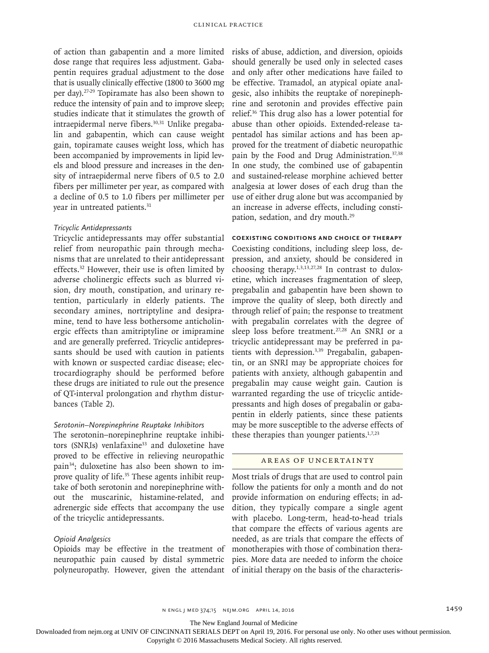of action than gabapentin and a more limited dose range that requires less adjustment. Gabapentin requires gradual adjustment to the dose that is usually clinically effective (1800 to 3600 mg per day).27-29 Topiramate has also been shown to reduce the intensity of pain and to improve sleep; studies indicate that it stimulates the growth of intraepidermal nerve fibers.30,31 Unlike pregabalin and gabapentin, which can cause weight gain, topiramate causes weight loss, which has been accompanied by improvements in lipid levels and blood pressure and increases in the density of intraepidermal nerve fibers of 0.5 to 2.0 fibers per millimeter per year, as compared with a decline of 0.5 to 1.0 fibers per millimeter per year in untreated patients.<sup>31</sup>

# *Tricyclic Antidepressants*

Tricyclic antidepressants may offer substantial relief from neuropathic pain through mechanisms that are unrelated to their antidepressant effects.32 However, their use is often limited by adverse cholinergic effects such as blurred vision, dry mouth, constipation, and urinary retention, particularly in elderly patients. The secondary amines, nortriptyline and desipramine, tend to have less bothersome anticholinergic effects than amitriptyline or imipramine and are generally preferred. Tricyclic antidepressants should be used with caution in patients with known or suspected cardiac disease; electrocardiography should be performed before these drugs are initiated to rule out the presence of QT-interval prolongation and rhythm disturbances (Table 2).

# *Serotonin–Norepinephrine Reuptake Inhibitors*

The serotonin–norepinephrine reuptake inhibitors (SNRIs) venlafaxine<sup>33</sup> and duloxetine have proved to be effective in relieving neuropathic pain34; duloxetine has also been shown to improve quality of life.<sup>35</sup> These agents inhibit reuptake of both serotonin and norepinephrine without the muscarinic, histamine-related, and adrenergic side effects that accompany the use of the tricyclic antidepressants.

# *Opioid Analgesics*

Opioids may be effective in the treatment of neuropathic pain caused by distal symmetric polyneuropathy. However, given the attendant of initial therapy on the basis of the characteris-

risks of abuse, addiction, and diversion, opioids should generally be used only in selected cases and only after other medications have failed to be effective. Tramadol, an atypical opiate analgesic, also inhibits the reuptake of norepinephrine and serotonin and provides effective pain relief.36 This drug also has a lower potential for abuse than other opioids. Extended-release tapentadol has similar actions and has been approved for the treatment of diabetic neuropathic pain by the Food and Drug Administration.<sup>37,38</sup> In one study, the combined use of gabapentin and sustained-release morphine achieved better analgesia at lower doses of each drug than the use of either drug alone but was accompanied by an increase in adverse effects, including constipation, sedation, and dry mouth.<sup>29</sup>

#### **Coexisting Conditions and Choice of Therapy**

Coexisting conditions, including sleep loss, depression, and anxiety, should be considered in choosing therapy.1,3,13,27,28 In contrast to duloxetine, which increases fragmentation of sleep, pregabalin and gabapentin have been shown to improve the quality of sleep, both directly and through relief of pain; the response to treatment with pregabalin correlates with the degree of sleep loss before treatment.<sup>27,28</sup> An SNRI or a tricyclic antidepressant may be preferred in patients with depression.<sup>3,39</sup> Pregabalin, gabapentin, or an SNRI may be appropriate choices for patients with anxiety, although gabapentin and pregabalin may cause weight gain. Caution is warranted regarding the use of tricyclic antidepressants and high doses of pregabalin or gabapentin in elderly patients, since these patients may be more susceptible to the adverse effects of these therapies than younger patients. $1,7,23$ 

#### Areas of Uncertainty

Most trials of drugs that are used to control pain follow the patients for only a month and do not provide information on enduring effects; in addition, they typically compare a single agent with placebo. Long-term, head-to-head trials that compare the effects of various agents are needed, as are trials that compare the effects of monotherapies with those of combination therapies. More data are needed to inform the choice

The New England Journal of Medicine

Downloaded from nejm.org at UNIV OF CINCINNATI SERIALS DEPT on April 19, 2016. For personal use only. No other uses without permission.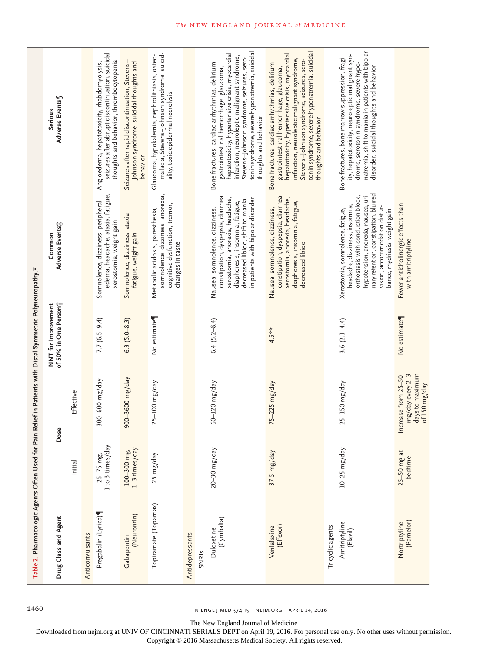| Table 2. Pharmacologic Agents Often Used for Pain Relief in Patients with Distal Symmetric Polyneuropathy." |                                   |                                                                                |                                              |                                                                                                                                                                                                                                                            |                                                                                                                                                                                                                                                                                                                   |
|-------------------------------------------------------------------------------------------------------------|-----------------------------------|--------------------------------------------------------------------------------|----------------------------------------------|------------------------------------------------------------------------------------------------------------------------------------------------------------------------------------------------------------------------------------------------------------|-------------------------------------------------------------------------------------------------------------------------------------------------------------------------------------------------------------------------------------------------------------------------------------------------------------------|
| Drug Class and Agent                                                                                        |                                   | Dose                                                                           | of 50% in One Personi<br>NNT for Improvement | Adverse Events;<br>Common                                                                                                                                                                                                                                  | Adverse Events<br><b>Serious</b>                                                                                                                                                                                                                                                                                  |
|                                                                                                             | Initial                           | Effective                                                                      |                                              |                                                                                                                                                                                                                                                            |                                                                                                                                                                                                                                                                                                                   |
| Anticonvulsants                                                                                             |                                   |                                                                                |                                              |                                                                                                                                                                                                                                                            |                                                                                                                                                                                                                                                                                                                   |
| Pregabalin (Lyrica)                                                                                         | 1 to 3 times/day<br>$25 - 75$ mg, | 300-600 mg/day                                                                 | $7.7(6.5-9.4)$                               | edema, headache, ataxia, fatigue,<br>Somnolence, dizziness, peripheral<br>xerostomia, weight gain                                                                                                                                                          | seizures after abrupt discontinuation, suicidal<br>thoughts and behavior, thrombocytopenia<br>Angioedema, hepatotoxicity, rhabdomyolysis,                                                                                                                                                                         |
| (Neurontin)<br>Gabapentin                                                                                   | 1-3 times/day<br>100-300 mg,      | 900-3600 mg/day                                                                | $6.3$ $(5.0-8.3)$                            | Somnolence, dizziness, ataxia,<br>fatigue, weight gain                                                                                                                                                                                                     | Seizures after rapid discontinuation, Stevens-<br>Johnson syndrome, suicidal thoughts and<br>behavior                                                                                                                                                                                                             |
| Topiramate (Topamax)                                                                                        | 25 mg/day                         | 25-100 mg/day                                                                  | No estimate                                  | somnolence, dizziness, anorexia,<br>cognitive dysfunction, tremor,<br>Metabolic acidosis, paresthesia,<br>changes in taste                                                                                                                                 | malacia, Stevens-Johnson syndrome, suicid-<br>Glaucoma, hypokalemia, nephrolithiasis, osteo-<br>ality, toxic epidermal necrolysis                                                                                                                                                                                 |
| Antidepressants<br>SNRIS                                                                                    |                                   |                                                                                |                                              |                                                                                                                                                                                                                                                            |                                                                                                                                                                                                                                                                                                                   |
| (Cymbalta)<br>Duloxetine                                                                                    | $20 - 30$ mg/day                  | 60-120 mg/day                                                                  | $6.4 (5.2 - 8.4)$                            | constipation, dyspepsia, diarrhea,<br>xerostomia, anorexia, headache,<br>in patients with bipolar disorder<br>decreased libido, shift to mania<br>diaphoresis, insomnia, fatigue,<br>Nausea, somnolence, dizziness,                                        | tonin syndrome, severe hyponatremia, suicidal<br>hepatotoxicity, hypertensive crisis, myocardial<br>infarction, neuroleptic malignant syndrome,<br>Stevens-Johnson syndrome, seizures, sero-<br>Bone fractures, cardiac arrhythmias, delirium,<br>gastrointestinal hemorrhage, glaucoma,<br>thoughts and behavior |
| (Effexor)<br>Venlafaxine                                                                                    | 37.5 mg/day                       | 75-225 mg/day                                                                  | $4.5***$                                     | constipation, dyspepsia, diarrhea,<br>xerostomia, anorexia, headache,<br>diaphoresis, insomnia, fatigue,<br>Nausea, somnolence, dizziness,<br>decreased libido                                                                                             | tonin syndrome, severe hyponatremia, suicidal<br>hepatotoxicity, hypertensive crisis, myocardial<br>infarction, neuroleptic malignant syndrome,<br>Stevens-Johnson syndrome, seizures, sero-<br>Bone fractures, cardiac arrhythmias, delirium,<br>gastrointestinal hemorrhage, glaucoma,<br>thoughts and behavior |
| Amitriptyline<br>Tricyclic agents<br>(E[avil]                                                               | $10 - 25$ mg/day                  | $25 - 150$ mg/day                                                              | 3.6 $(2.1-4.4)$                              | nary retention, constipation, blurred<br>hypotension, anorexia, nausea, uri-<br>orthostasis with conduction block,<br>headache, dizziness, insomnia,<br>vision, accommodation distur-<br>Xerostomia, somnolence, fatigue,<br>bance, mydriasis, weight gain | natremia, shift to mania in patients with bipolar<br>Bone fractures, bone marrow suppression, fragil-<br>ity, hepatotoxicity, neuroleptic malignant syn-<br>drome, serotonin syndrome, severe hypo-<br>disorder, suicidal thoughts and behavior                                                                   |
| (Pamelor)<br>Nortriptyline                                                                                  | $25 - 50$ mg at<br>bedtime        | days to maximum<br>mg/day every 2-3<br>crease from 25-50<br>of 150 mg/day<br>드 | No estimate                                  | Fewer anticholinergic effects than<br>with amitriptyline                                                                                                                                                                                                   |                                                                                                                                                                                                                                                                                                                   |

1460 **n** ENGL J MED 374;15 NEJM.ORG APRIL 14, 2016

The New England Journal of Medicine

Downloaded from nejm.org at UNIV OF CINCINNATI SERIALS DEPT on April 19, 2016. For personal use only. No other uses without permission.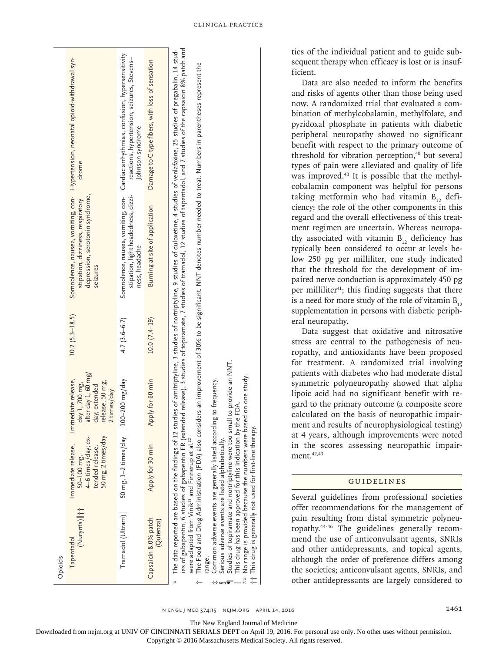| Opioids                                                                                                                                                                                                                                                                                                                  |                                                                                                 |                                                                                                                |                     |                                                                                                                        |                                                                                                                                                                                                                                                                                                                                                                                                                                                                                                                                                                     |
|--------------------------------------------------------------------------------------------------------------------------------------------------------------------------------------------------------------------------------------------------------------------------------------------------------------------------|-------------------------------------------------------------------------------------------------|----------------------------------------------------------------------------------------------------------------|---------------------|------------------------------------------------------------------------------------------------------------------------|---------------------------------------------------------------------------------------------------------------------------------------------------------------------------------------------------------------------------------------------------------------------------------------------------------------------------------------------------------------------------------------------------------------------------------------------------------------------------------------------------------------------------------------------------------------------|
| (Nucynta)   1 <sup>+</sup><br>Tapentadol                                                                                                                                                                                                                                                                                 | 4-6 times/day; ex-<br>50 mg, 2 times/day<br>Immediate release,<br>tended release,<br>50-100 mg, | after day 1, 60 mg/<br>Immediate release,<br>release, 50 mg,<br>day 1, 700 mg,<br>day; extended<br>2 times/day | $10.2 (5.3 - 18.5)$ | Somnolence, nausea, vomiting, con-<br>depression, serotonin syndrome,<br>stipation, dizziness, respiratory<br>seizures | Hypertension, neonatal opioid-withdrawal syn-<br>drome                                                                                                                                                                                                                                                                                                                                                                                                                                                                                                              |
| Tramadol (Ultram)                                                                                                                                                                                                                                                                                                        | 50 mg, 1-2 times/day                                                                            | 100-200 mg/day                                                                                                 | $4.7(3.6 - 6.7)$    | Somnolence, nausea, vomiting, con-<br>stipation, light headedness, dizzi-<br>ness, headache                            | Cardiac arrhythmias, confusion, hypersensitivity<br>reactions, hypertension, seizures, Stevens-<br>Johnson syndrome                                                                                                                                                                                                                                                                                                                                                                                                                                                 |
| Capsaicin 8.0% patch<br>(Qutenza)                                                                                                                                                                                                                                                                                        | Apply for 30 min                                                                                | Apply for 60 min                                                                                               | $10.0(7.4-19)$      | Burning at site of application                                                                                         | Damage to C-type fibers, with loss of sensation                                                                                                                                                                                                                                                                                                                                                                                                                                                                                                                     |
| Common adverse events are generally listed according to frequency.<br>Serious adverse events are listed alphabetically.<br>Studies of topiramate and nortriptyline were too<br>This drug has been approved for this indication<br>were adapted from Vinik <sup>13</sup> and Finnerup et al. <sup>22</sup><br>range.<br>∗ |                                                                                                 | small to provide an NNT.<br>by the FDA                                                                         |                     |                                                                                                                        | ies of gabapentin, 6 studies of gabapentin ER (extended release), 3 studies of topiramate, 7 studies of tramadol, 12 studies of tapentadol, and 7 studies of the capsaicin 8% patch and<br>The data reported are based on the findings of 12 studies of amitriptyline, 3 studies of nortriptyline, 9 studies of duloxetine, 4 studies of venlafaxine, 25 studies of pregabalin, 14 stud-<br>The Food and Drug Administration (FDA) also considers an improvement of 30% to be significant. NNT denotes number needed to treat. Numbers in parentheses represent the |

tics of the individual patient and to guide subsequent therapy when efficacy is lost or is insufficient.

Data are also needed to inform the benefits and risks of agents other than those being used now. A randomized trial that evaluated a combination of methylcobalamin, methylfolate, and pyridoxal phosphate in patients with diabetic peripheral neuropathy showed no significant benefit with respect to the primary outcome of threshold for vibration perception, $40$  but several types of pain were alleviated and quality of life was improved.<sup>40</sup> It is possible that the methylcobalamin component was helpful for persons taking metformin who had vitamin  $B_{12}$  deficiency; the role of the other components in this regard and the overall effectiveness of this treatment regimen are uncertain. Whereas neuropathy associated with vitamin  $B_{12}$  deficiency has typically been considered to occur at levels below 250 pg per milliliter, one study indicated that the threshold for the development of impaired nerve conduction is approximately 450 pg per milliliter<sup>41</sup>; this finding suggests that there is a need for more study of the role of vitamin  $B_{12}$ supplementation in persons with diabetic peripheral neuropathy.

Data suggest that oxidative and nitrosative stress are central to the pathogenesis of neuropathy, and antioxidants have been proposed for treatment. A randomized trial involving patients with diabetes who had moderate distal symmetric polyneuropathy showed that alpha lipoic acid had no significant benefit with regard to the primary outcome (a composite score calculated on the basis of neuropathic impairment and results of neurophysiological testing) at 4 years, although improvements were noted in the scores assessing neuropathic impairment.<sup>42,43</sup>

# Guidelines

Several guidelines from professional societies offer recommendations for the management of pain resulting from distal symmetric polyneuropathy.44-46 The guidelines generally recommend the use of anticonvulsant agents, SNRIs and other antidepressants, and topical agents, although the order of preference differs among the societies; anticonvulsant agents, SNRIs, and other antidepressants are largely considered to

n ENGL JMED 374;15 NEJM.ORG APRIL 14, 2016 1990 1461

‖ This drug has been approved for this indication by the FDA.  $**\,$  No range is provided because the numbers were based on one study.

No range is provided because the numbers were based on one study.

 $\dagger$ † $\top$ his drug is generally not used for first-line therapy.

This drug is generally not used for first-line therapy.

The New England Journal of Medicine

 $\frac{1}{2}$ 妇

Downloaded from nejm.org at UNIV OF CINCINNATI SERIALS DEPT on April 19, 2016. For personal use only. No other uses without permission.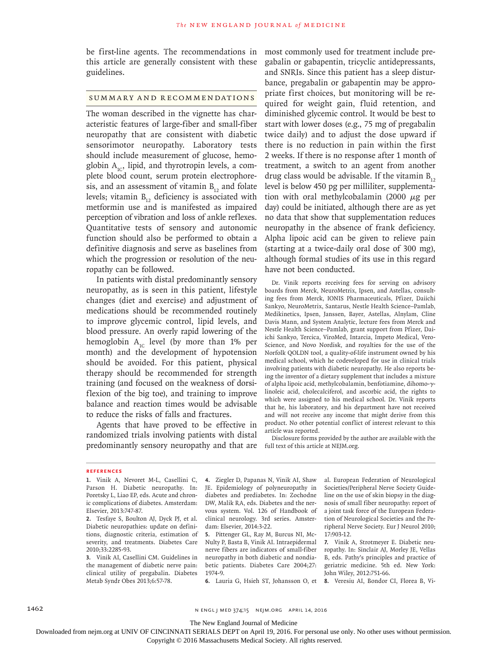be first-line agents. The recommendations in this article are generally consistent with these guidelines.

### Summary and Recommendations

The woman described in the vignette has characteristic features of large-fiber and small-fiber neuropathy that are consistent with diabetic sensorimotor neuropathy. Laboratory tests should include measurement of glucose, hemoglobin  $A_{1c}$ , lipid, and thyrotropin levels, a complete blood count, serum protein electrophoresis, and an assessment of vitamin  $B_{12}$  and folate levels; vitamin  $B_{12}$  deficiency is associated with metformin use and is manifested as impaired perception of vibration and loss of ankle reflexes. Quantitative tests of sensory and autonomic function should also be performed to obtain a definitive diagnosis and serve as baselines from which the progression or resolution of the neuropathy can be followed.

In patients with distal predominantly sensory neuropathy, as is seen in this patient, lifestyle changes (diet and exercise) and adjustment of medications should be recommended routinely to improve glycemic control, lipid levels, and blood pressure. An overly rapid lowering of the hemoglobin  $A_{1c}$  level (by more than 1% per month) and the development of hypotension should be avoided. For this patient, physical therapy should be recommended for strength training (and focused on the weakness of dorsiflexion of the big toe), and training to improve balance and reaction times would be advisable to reduce the risks of falls and fractures.

Agents that have proved to be effective in randomized trials involving patients with distal predominantly sensory neuropathy and that are full text of this article at NEJM.org.

most commonly used for treatment include pregabalin or gabapentin, tricyclic antidepressants, and SNRIs. Since this patient has a sleep disturbance, pregabalin or gabapentin may be appropriate first choices, but monitoring will be required for weight gain, fluid retention, and diminished glycemic control. It would be best to start with lower doses (e.g., 75 mg of pregabalin twice daily) and to adjust the dose upward if there is no reduction in pain within the first 2 weeks. If there is no response after 1 month of treatment, a switch to an agent from another drug class would be advisable. If the vitamin  $B_{12}$ level is below 450 pg per milliliter, supplementation with oral methylcobalamin (2000  $\mu$ g per day) could be initiated, although there are as yet no data that show that supplementation reduces neuropathy in the absence of frank deficiency. Alpha lipoic acid can be given to relieve pain (starting at a twice-daily oral dose of 300 mg), although formal studies of its use in this regard have not been conducted.

Dr. Vinik reports receiving fees for serving on advisory boards from Merck, NeuroMetrix, Ipsen, and Astellas, consulting fees from Merck, IONIS Pharmaceuticals, Pfizer, Daiichi Sankyo, NeuroMetrix, Santarus, Nestle Health Science–Pamlab, Medikinetics, Ipsen, Janssen, Bayer, Astellas, Alnylam, Cline Davis Mann, and System Analytic, lecture fees from Merck and Nestle Health Science–Pamlab, grant support from Pfizer, Daiichi Sankyo, Tercica, ViroMed, Intarcia, Impeto Medical, Vero-Science, and Novo Nordisk, and royalties for the use of the Norfolk QOLDN tool, a quality-of-life instrument owned by his medical school, which he codeveloped for use in clinical trials involving patients with diabetic neuropathy. He also reports being the inventor of a dietary supplement that includes a mixture of alpha lipoic acid, methylcobalamin, benfotiamine, dihomo-γlinoleic acid, cholecalciferol, and ascorbic acid, the rights to which were assigned to his medical school. Dr. Vinik reports that he, his laboratory, and his department have not received and will not receive any income that might derive from this product. No other potential conflict of interest relevant to this article was reported.

Disclosure forms provided by the author are available with the

#### **References**

- **1.** Vinik A, Nevoret M-L, Casellini C, Parson H. Diabetic neuropathy. In: Poretsky L, Liao EP, eds. Acute and chronic complications of diabetes. Amsterdam: Elsevier, 2013:747-87.
- **2.** Tesfaye S, Boulton AJ, Dyck PJ, et al. Diabetic neuropathies: update on definitions, diagnostic criteria, estimation of severity, and treatments. Diabetes Care 2010;33:2285-93.
- **3.** Vinik AI, Casellini CM. Guidelines in the management of diabetic nerve pain: clinical utility of pregabalin. Diabetes Metab Syndr Obes 2013;6:57-78.

**4.** Ziegler D, Papanas N, Vinik AI, Shaw JE. Epidemiology of polyneuropathy in diabetes and prediabetes. In: Zochodne DW, Malik RA, eds. Diabetes and the nervous system. Vol. 126 of Handbook of clinical neurology. 3rd series. Amsterdam: Elsevier, 2014:3-22.

**5.** Pittenger GL, Ray M, Burcus NI, Mc-Nulty P, Basta B, Vinik AI. Intraepidermal nerve fibers are indicators of small-fiber neuropathy in both diabetic and nondiabetic patients. Diabetes Care 2004;27: 1974-9.

al. European Federation of Neurological Societies/Peripheral Nerve Society Guideline on the use of skin biopsy in the diagnosis of small fiber neuropathy: report of a joint task force of the European Federation of Neurological Societies and the Peripheral Nerve Society. Eur J Neurol 2010; 17:903-12.

**7.** Vinik A, Strotmeyer E. Diabetic neuropathy. In: Sinclair AJ, Morley JE, Vellas B, eds. Pathy's principles and practice of geriatric medicine. 5th ed. New York: John Wiley, 2012:751-66.

**6.** Lauria G, Hsieh ST, Johansson O, et

**8.** Veresiu AI, Bondor CI, Florea B, Vi-

1462 **n ENGL j MED 374;15** NEJM.ORG APRIL 14, 2016

The New England Journal of Medicine

Downloaded from nejm.org at UNIV OF CINCINNATI SERIALS DEPT on April 19, 2016. For personal use only. No other uses without permission.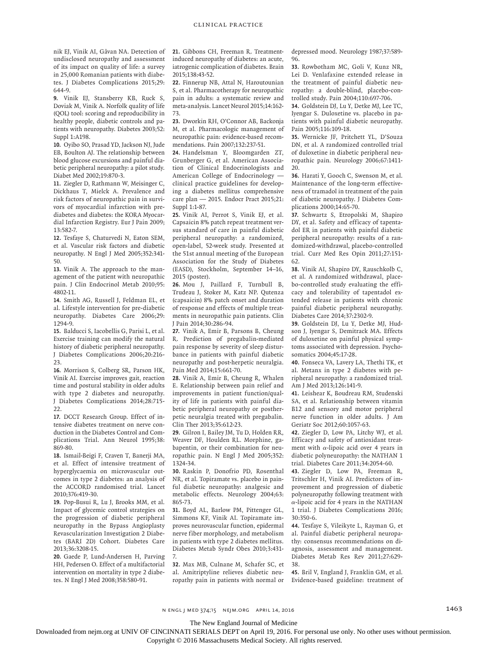nik EJ, Vinik AI, Gâvan NA. Detection of undisclosed neuropathy and assessment of its impact on quality of life: a survey in 25,000 Romanian patients with diabetes. J Diabetes Complications 2015;29: 644-9.

**9.** Vinik EJ, Stansberry KB, Ruck S, Doviak M, Vinik A. Norfolk quality of life (QOL) tool: scoring and reproducibility in healthy people, diabetic controls and patients with neuropathy. Diabetes 2003;52: Suppl 1:A198.

**10.** Oyibo SO, Prasad YD, Jackson NJ, Jude EB, Boulton AJ. The relationship between blood glucose excursions and painful diabetic peripheral neuropathy: a pilot study. Diabet Med 2002;19:870-3.

**11.** Ziegler D, Rathmann W, Meisinger C, Dickhaus T, Mielck A. Prevalence and risk factors of neuropathic pain in survivors of myocardial infarction with prediabetes and diabetes: the KORA Myocardial Infarction Registry. Eur J Pain 2009; 13:582-7.

**12.** Tesfaye S, Chaturvedi N, Eaton SEM, et al. Vascular risk factors and diabetic neuropathy. N Engl J Med 2005;352:341- 50.

**13.** Vinik A. The approach to the management of the patient with neuropathic pain. J Clin Endocrinol Metab 2010;95: 4802-11.

**14.** Smith AG, Russell J, Feldman EL, et al. Lifestyle intervention for pre-diabetic neuropathy. Diabetes Care 2006;29: 1294-9.

**15.** Balducci S, Iacobellis G, Parisi L, et al. Exercise training can modify the natural history of diabetic peripheral neuropathy. J Diabetes Complications 2006;20:216- 23.

**16.** Morrison S, Colberg SR, Parson HK, Vinik AI. Exercise improves gait, reaction time and postural stability in older adults with type 2 diabetes and neuropathy. J Diabetes Complications 2014;28:715- 22.

**17.** DCCT Research Group. Effect of intensive diabetes treatment on nerve conduction in the Diabetes Control and Complications Trial. Ann Neurol 1995;38: 869-80.

**18.** Ismail-Beigi F, Craven T, Banerji MA, et al. Effect of intensive treatment of hyperglycaemia on microvascular outcomes in type 2 diabetes: an analysis of the ACCORD randomised trial. Lancet 2010;376:419-30.

**19.** Pop-Busui R, Lu J, Brooks MM, et al. Impact of glycemic control strategies on the progression of diabetic peripheral neuropathy in the Bypass Angioplasty Revascularization Investigation 2 Diabetes (BARI 2D) Cohort. Diabetes Care 2013;36:3208-15.

**20.** Gaede P, Lund-Andersen H, Parving HH, Pedersen O. Effect of a multifactorial intervention on mortality in type 2 diabetes. N Engl J Med 2008;358:580-91.

**21.** Gibbons CH, Freeman R. Treatmentinduced neuropathy of diabetes: an acute, iatrogenic complication of diabetes. Brain 2015;138:43-52.

**22.** Finnerup NB, Attal N, Haroutounian S, et al. Pharmacotherapy for neuropathic pain in adults: a systematic review and meta-analysis. Lancet Neurol 2015;14:162- 73.

**23.** Dworkin RH, O'Connor AB, Backonja M, et al. Pharmacologic management of neuropathic pain: evidence-based recommendations. Pain 2007;132:237-51.

**24.** Handelsman Y, Bloomgarden ZT, Grunberger G, et al. American Association of Clinical Endocrinologists and American College of Endocrinology clinical practice guidelines for developing a diabetes mellitus comprehensive care plan — 2015. Endocr Pract 2015;21: Suppl 1:1-87.

**25.** Vinik AI, Perrot S, Vinik EJ, et al. Capsaicin 8% patch repeat treatment versus standard of care in painful diabetic peripheral neuropathy: a randomized, open-label, 52-week study. Presented at the 51st annual meeting of the European Association for the Study of Diabetes (EASD), Stockholm, September 14–16, 2015 (poster).

**26.** Mou J, Paillard F, Turnbull B, Trudeau J, Stoker M, Katz NP. Qutenza (capsaicin) 8% patch onset and duration of response and effects of multiple treatments in neuropathic pain patients. Clin J Pain 2014;30:286-94.

**27.** Vinik A, Emir B, Parsons B, Cheung R. Prediction of pregabalin-mediated pain response by severity of sleep disturbance in patients with painful diabetic neuropathy and post-herpetic neuralgia. Pain Med 2014;15:661-70.

**28.** Vinik A, Emir B, Cheung R, Whalen E. Relationship between pain relief and improvements in patient function/quality of life in patients with painful diabetic peripheral neuropathy or postherpetic neuralgia treated with pregabalin. Clin Ther 2013;35:612-23.

**29.** Gilron I, Bailey JM, Tu D, Holden RR, Weaver DF, Houlden RL. Morphine, gabapentin, or their combination for neuropathic pain. N Engl J Med 2005;352: 1324-34.

**30.** Raskin P, Donofrio PD, Rosenthal NR, et al. Topiramate vs. placebo in painful diabetic neuropathy: analgesic and metabolic effects. Neurology 2004;63: 865-73.

**31.** Boyd AL, Barlow PM, Pittenger GL, Simmons KF, Vinik AI. Topiramate improves neurovascular function, epidermal nerve fiber morphology, and metabolism in patients with type 2 diabetes mellitus. Diabetes Metab Syndr Obes 2010;3:431- 7.

**32.** Max MB, Culnane M, Schafer SC, et al. Amitriptyline relieves diabetic neuropathy pain in patients with normal or depressed mood. Neurology 1987;37:589- 96.

**33.** Rowbotham MC, Goli V, Kunz NR, Lei D. Venlafaxine extended release in the treatment of painful diabetic neuropathy: a double-blind, placebo-controlled study. Pain 2004;110:697-706.

**34.** Goldstein DJ, Lu Y, Detke MJ, Lee TC, Iyengar S. Duloxetine vs. placebo in patients with painful diabetic neuropathy. Pain 2005;116:109-18.

**35.** Wernicke JF, Pritchett YL, D'Souza DN, et al. A randomized controlled trial of duloxetine in diabetic peripheral neuropathic pain. Neurology 2006;67:1411- 20.

**36.** Harati Y, Gooch C, Swenson M, et al. Maintenance of the long-term effectiveness of tramadol in treatment of the pain of diabetic neuropathy. J Diabetes Complications 2000;14:65-70.

**37.** Schwartz S, Etropolski M, Shapiro DY, et al. Safety and efficacy of tapentadol ER in patients with painful diabetic peripheral neuropathy: results of a randomized-withdrawal, placebo-controlled trial. Curr Med Res Opin 2011;27:151- 62.

**38.** Vinik AI, Shapiro DY, Rauschkolb C, et al. A randomized withdrawal, placebo-controlled study evaluating the efficacy and tolerability of tapentadol extended release in patients with chronic painful diabetic peripheral neuropathy. Diabetes Care 2014;37:2302-9.

**39.** Goldstein DJ, Lu Y, Detke MJ, Hudson J, Iyengar S, Demitrack MA. Effects of duloxetine on painful physical symptoms associated with depression. Psychosomatics 2004;45:17-28.

**40.** Fonseca VA, Lavery LA, Thethi TK, et al. Metanx in type 2 diabetes with peripheral neuropathy: a randomized trial. Am J Med 2013;126:141-9.

**41.** Leishear K, Boudreau RM, Studenski SA, et al. Relationship between vitamin B12 and sensory and motor peripheral nerve function in older adults. J Am Geriatr Soc 2012;60:1057-63.

**42.** Ziegler D, Low PA, Litchy WJ, et al. Efficacy and safety of antioxidant treatment with  $\alpha$ -lipoic acid over 4 years in diabetic polyneuropathy: the NATHAN 1 trial. Diabetes Care 2011;34:2054-60.

**43.** Ziegler D, Low PA, Freeman R, Tritschler H, Vinik AI. Predictors of improvement and progression of diabetic polyneuropathy following treatment with α-lipoic acid for 4 years in the NATHAN 1 trial. J Diabetes Complications 2016; 30:350-6.

**44.** Tesfaye S, Vileikyte L, Rayman G, et al. Painful diabetic peripheral neuropathy: consensus recommendations on diagnosis, assessment and management. Diabetes Metab Res Rev 2011;27:629- 38.

**45.** Bril V, England J, Franklin GM, et al. Evidence-based guideline: treatment of

n ENGL JMED 374;15 NEJM.ORG APRIL 14, 2016 1997 1403

The New England Journal of Medicine

Downloaded from nejm.org at UNIV OF CINCINNATI SERIALS DEPT on April 19, 2016. For personal use only. No other uses without permission.